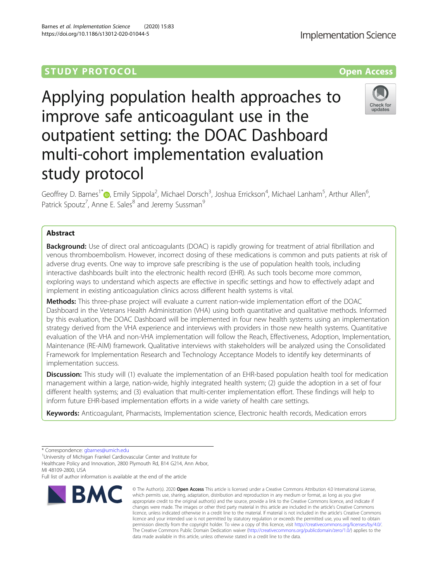# **STUDY PROTOCOL CONSUMING THE RESERVE ACCESS**

Applying population health approaches to improve safe anticoagulant use in the outpatient setting: the DOAC Dashboard multi-cohort implementation evaluation study protocol

Geoffrey D. Barnes<sup>1\*</sup>�, Emily Sippola<sup>2</sup>, Michael Dorsch<sup>3</sup>, Joshua Errickson<sup>4</sup>, Michael Lanham<sup>5</sup>, Arthur Allen<sup>6</sup> י<br>, Patrick Spoutz<sup>7</sup>, Anne E. Sales<sup>8</sup> and Jeremy Sussman<sup>9</sup>

# Abstract

**Background:** Use of direct oral anticoagulants (DOAC) is rapidly growing for treatment of atrial fibrillation and venous thromboembolism. However, incorrect dosing of these medications is common and puts patients at risk of adverse drug events. One way to improve safe prescribing is the use of population health tools, including interactive dashboards built into the electronic health record (EHR). As such tools become more common, exploring ways to understand which aspects are effective in specific settings and how to effectively adapt and implement in existing anticoagulation clinics across different health systems is vital.

Methods: This three-phase project will evaluate a current nation-wide implementation effort of the DOAC Dashboard in the Veterans Health Administration (VHA) using both quantitative and qualitative methods. Informed by this evaluation, the DOAC Dashboard will be implemented in four new health systems using an implementation strategy derived from the VHA experience and interviews with providers in those new health systems. Quantitative evaluation of the VHA and non-VHA implementation will follow the Reach, Effectiveness, Adoption, Implementation, Maintenance (RE-AIM) framework. Qualitative interviews with stakeholders will be analyzed using the Consolidated Framework for Implementation Research and Technology Acceptance Models to identify key determinants of implementation success.

**Discussion:** This study will (1) evaluate the implementation of an EHR-based population health tool for medication management within a large, nation-wide, highly integrated health system; (2) guide the adoption in a set of four different health systems; and (3) evaluation that multi-center implementation effort. These findings will help to inform future EHR-based implementation efforts in a wide variety of health care settings.

Keywords: Anticoagulant, Pharmacists, Implementation science, Electronic health records, Medication errors

**BMC** 

Full list of author information is available at the end of the article

#### © The Author(s), 2020 **Open Access** This article is licensed under a Creative Commons Attribution 4.0 International License, which permits use, sharing, adaptation, distribution and reproduction in any medium or format, as long as you give appropriate credit to the original author(s) and the source, provide a link to the Creative Commons licence, and indicate if changes were made. The images or other third party material in this article are included in the article's Creative Commons licence, unless indicated otherwise in a credit line to the material. If material is not included in the article's Creative Commons licence and your intended use is not permitted by statutory regulation or exceeds the permitted use, you will need to obtain permission directly from the copyright holder. To view a copy of this licence, visit [http://creativecommons.org/licenses/by/4.0/.](http://creativecommons.org/licenses/by/4.0/) The Creative Commons Public Domain Dedication waiver [\(http://creativecommons.org/publicdomain/zero/1.0/](http://creativecommons.org/publicdomain/zero/1.0/)) applies to the data made available in this article, unless otherwise stated in a credit line to the data.

Barnes et al. Implementation Science (2020) 15:83 https://doi.org/10.1186/s13012-020-01044-5







<sup>\*</sup> Correspondence: [gbarnes@umich.edu](mailto:gbarnes@umich.edu)<br><sup>1</sup>University of Michigan Frankel Cardiovascular Center and Institute for Healthcare Policy and Innovation, 2800 Plymouth Rd, B14 G214, Ann Arbor, MI 48109-2800, USA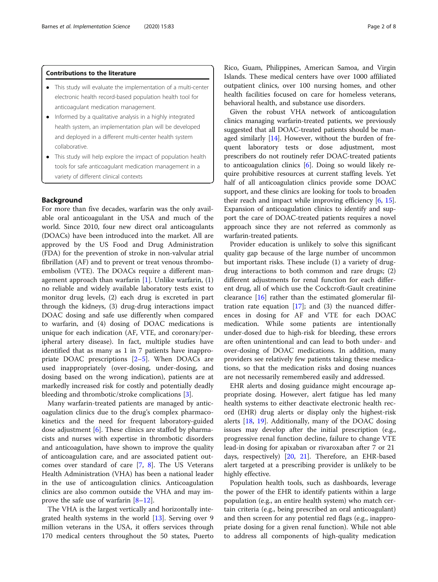### Contributions to the literature

- This study will evaluate the implementation of a multi-center electronic health record-based population health tool for anticoagulant medication management.
- Informed by a qualitative analysis in a highly integrated health system, an implementation plan will be developed and deployed in a different multi-center health system collaborative.
- This study will help explore the impact of population health tools for safe anticoagulant medication management in a variety of different clinical contexts

## Background

For more than five decades, warfarin was the only available oral anticoagulant in the USA and much of the world. Since 2010, four new direct oral anticoagulants (DOACs) have been introduced into the market. All are approved by the US Food and Drug Administration (FDA) for the prevention of stroke in non-valvular atrial fibrillation (AF) and to prevent or treat venous thromboembolism (VTE). The DOACs require a different management approach than warfarin  $[1]$  $[1]$ . Unlike warfarin,  $(1)$ no reliable and widely available laboratory tests exist to monitor drug levels, (2) each drug is excreted in part through the kidneys, (3) drug-drug interactions impact DOAC dosing and safe use differently when compared to warfarin, and (4) dosing of DOAC medications is unique for each indication (AF, VTE, and coronary/peripheral artery disease). In fact, multiple studies have identified that as many as 1 in 7 patients have inappropriate DOAC prescriptions [\[2](#page-6-0)–[5\]](#page-6-0). When DOACs are used inappropriately (over-dosing, under-dosing, and dosing based on the wrong indication), patients are at markedly increased risk for costly and potentially deadly bleeding and thrombotic/stroke complications [\[3](#page-6-0)].

Many warfarin-treated patients are managed by anticoagulation clinics due to the drug's complex pharmacokinetics and the need for frequent laboratory-guided dose adjustment [[6\]](#page-6-0). These clinics are staffed by pharmacists and nurses with expertise in thrombotic disorders and anticoagulation, have shown to improve the quality of anticoagulation care, and are associated patient outcomes over standard of care [[7,](#page-6-0) [8\]](#page-6-0). The US Veterans Health Administration (VHA) has been a national leader in the use of anticoagulation clinics. Anticoagulation clinics are also common outside the VHA and may improve the safe use of warfarin [\[8](#page-6-0)–[12\]](#page-6-0).

The VHA is the largest vertically and horizontally integrated health systems in the world [[13](#page-6-0)]. Serving over 9 million veterans in the USA, it offers services through 170 medical centers throughout the 50 states, Puerto

Rico, Guam, Philippines, American Samoa, and Virgin Islands. These medical centers have over 1000 affiliated outpatient clinics, over 100 nursing homes, and other health facilities focused on care for homeless veterans, behavioral health, and substance use disorders.

Given the robust VHA network of anticoagulation clinics managing warfarin-treated patients, we previously suggested that all DOAC-treated patients should be managed similarly  $[14]$ . However, without the burden of frequent laboratory tests or dose adjustment, most prescribers do not routinely refer DOAC-treated patients to anticoagulation clinics [[6\]](#page-6-0). Doing so would likely require prohibitive resources at current staffing levels. Yet half of all anticoagulation clinics provide some DOAC support, and these clinics are looking for tools to broaden their reach and impact while improving efficiency [\[6](#page-6-0), [15](#page-6-0)]. Expansion of anticoagulation clinics to identify and support the care of DOAC-treated patients requires a novel approach since they are not referred as commonly as warfarin-treated patients.

Provider education is unlikely to solve this significant quality gap because of the large number of uncommon but important risks. These include (1) a variety of drugdrug interactions to both common and rare drugs; (2) different adjustments for renal function for each different drug, all of which use the Cockcroft-Gault creatinine clearance [\[16\]](#page-6-0) rather than the estimated glomerular filtration rate equation  $[17]$  $[17]$ ; and  $(3)$  the nuanced differences in dosing for AF and VTE for each DOAC medication. While some patients are intentionally under-dosed due to high-risk for bleeding, these errors are often unintentional and can lead to both under- and over-dosing of DOAC medications. In addition, many providers see relatively few patients taking these medications, so that the medication risks and dosing nuances are not necessarily remembered easily and addressed.

EHR alerts and dosing guidance might encourage appropriate dosing. However, alert fatigue has led many health systems to either deactivate electronic health record (EHR) drug alerts or display only the highest-risk alerts [[18,](#page-7-0) [19](#page-7-0)]. Additionally, many of the DOAC dosing issues may develop after the initial prescription (e.g., progressive renal function decline, failure to change VTE lead-in dosing for apixaban or rivaroxaban after 7 or 21 days, respectively) [\[20,](#page-7-0) [21\]](#page-7-0). Therefore, an EHR-based alert targeted at a prescribing provider is unlikely to be highly effective.

Population health tools, such as dashboards, leverage the power of the EHR to identify patients within a large population (e.g., an entire health system) who match certain criteria (e.g., being prescribed an oral anticoagulant) and then screen for any potential red flags (e.g., inappropriate dosing for a given renal function). While not able to address all components of high-quality medication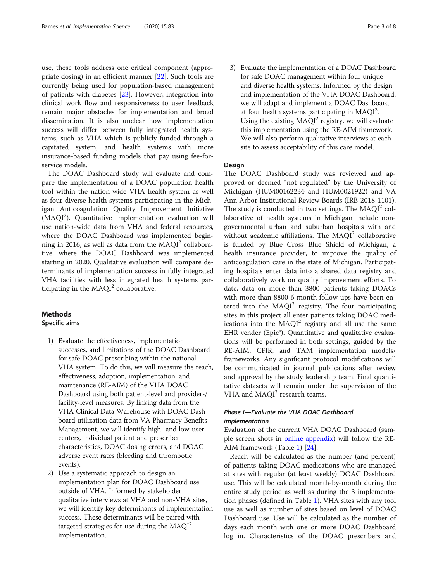use, these tools address one critical component (appropriate dosing) in an efficient manner [[22\]](#page-7-0). Such tools are currently being used for population-based management of patients with diabetes [\[23](#page-7-0)]. However, integration into clinical work flow and responsiveness to user feedback remain major obstacles for implementation and broad dissemination. It is also unclear how implementation success will differ between fully integrated health systems, such as VHA which is publicly funded through a capitated system, and health systems with more insurance-based funding models that pay using fee-forservice models.

The DOAC Dashboard study will evaluate and compare the implementation of a DOAC population health tool within the nation-wide VHA health system as well as four diverse health systems participating in the Michigan Anticoagulation Quality Improvement Initiative (MAQI<sup>2</sup>). Quantitative implementation evaluation will use nation-wide data from VHA and federal resources, where the DOAC Dashboard was implemented beginning in 2016, as well as data from the  $MAQI<sup>2</sup>$  collaborative, where the DOAC Dashboard was implemented starting in 2020. Qualitative evaluation will compare determinants of implementation success in fully integrated VHA facilities with less integrated health systems participating in the  $MAQI<sup>2</sup>$  collaborative.

# Methods Specific aims

- 1) Evaluate the effectiveness, implementation successes, and limitations of the DOAC Dashboard for safe DOAC prescribing within the national VHA system. To do this, we will measure the reach, effectiveness, adoption, implementation, and maintenance (RE-AIM) of the VHA DOAC Dashboard using both patient-level and provider-/ facility-level measures. By linking data from the VHA Clinical Data Warehouse with DOAC Dashboard utilization data from VA Pharmacy Benefits Management, we will identify high- and low-user centers, individual patient and prescriber characteristics, DOAC dosing errors, and DOAC adverse event rates (bleeding and thrombotic events).
- 2) Use a systematic approach to design an implementation plan for DOAC Dashboard use outside of VHA. Informed by stakeholder qualitative interviews at VHA and non-VHA sites, we will identify key determinants of implementation success. These determinants will be paired with targeted strategies for use during the  $MAQI<sup>2</sup>$ implementation.

3) Evaluate the implementation of a DOAC Dashboard for safe DOAC management within four unique and diverse health systems. Informed by the design and implementation of the VHA DOAC Dashboard, we will adapt and implement a DOAC Dashboard at four health systems participating in  $MAQI<sup>2</sup>$ . Using the existing  $MAQI<sup>2</sup>$  registry, we will evaluate this implementation using the RE-AIM framework. We will also perform qualitative interviews at each site to assess acceptability of this care model.

# Design

The DOAC Dashboard study was reviewed and approved or deemed "not regulated" by the University of Michigan (HUM00162234 and HUM0021922) and VA Ann Arbor Institutional Review Boards (IRB-2018-1101). The study is conducted in two settings. The  $MAQI<sup>2</sup>$  collaborative of health systems in Michigan include nongovernmental urban and suburban hospitals with and without academic affiliations. The  $MAQI<sup>2</sup>$  collaborative is funded by Blue Cross Blue Shield of Michigan, a health insurance provider, to improve the quality of anticoagulation care in the state of Michigan. Participating hospitals enter data into a shared data registry and collaboratively work on quality improvement efforts. To date, data on more than 3800 patients taking DOACs with more than 8800 6-month follow-ups have been entered into the  $MAOI<sup>2</sup>$  registry. The four participating sites in this project all enter patients taking DOAC medications into the  $MAQI<sup>2</sup>$  registry and all use the same EHR vender (Epic®). Quantitative and qualitative evaluations will be performed in both settings, guided by the RE-AIM, CFIR, and TAM implementation models/ frameworks. Any significant protocol modifications will be communicated in journal publications after review and approval by the study leadership team. Final quantitative datasets will remain under the supervision of the VHA and  $MAOI<sup>2</sup>$  research teams.

# Phase I—Evaluate the VHA DOAC Dashboard implementation

Evaluation of the current VHA DOAC Dashboard (sample screen shots in [online appendix](#page-6-0)) will follow the RE-AIM framework (Table [1](#page-3-0)) [\[24](#page-7-0)].

Reach will be calculated as the number (and percent) of patients taking DOAC medications who are managed at sites with regular (at least weekly) DOAC Dashboard use. This will be calculated month-by-month during the entire study period as well as during the 3 implementation phases (defined in Table [1\)](#page-3-0). VHA sites with any tool use as well as number of sites based on level of DOAC Dashboard use. Use will be calculated as the number of days each month with one or more DOAC Dashboard log in. Characteristics of the DOAC prescribers and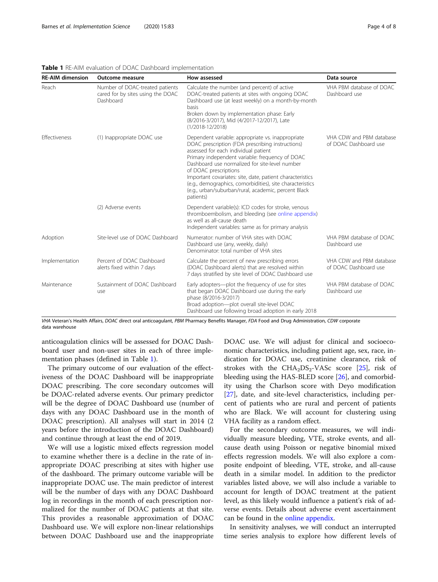| <b>RE-AIM dimension</b> | <b>Outcome measure</b>                                                            | How assessed                                                                                                                                                                                                                                                                                                                                                                                                                                                               | Data source                                       |
|-------------------------|-----------------------------------------------------------------------------------|----------------------------------------------------------------------------------------------------------------------------------------------------------------------------------------------------------------------------------------------------------------------------------------------------------------------------------------------------------------------------------------------------------------------------------------------------------------------------|---------------------------------------------------|
| Reach                   | Number of DOAC-treated patients<br>cared for by sites using the DOAC<br>Dashboard | Calculate the number (and percent) of active<br>DOAC-treated patients at sites with ongoing DOAC<br>Dashboard use (at least weekly) on a month-by-month<br><b>basis</b><br>Broken down by implementation phase: Early<br>(8/2016-3/2017), Mid (4/2017-12/2017), Late<br>$(1/2018 - 12/2018)$                                                                                                                                                                               | VHA PBM database of DOAC<br>Dashboard use         |
| <b>Effectiveness</b>    | (1) Inappropriate DOAC use                                                        | Dependent variable: appropriate vs. inappropriate<br>DOAC prescription (FDA prescribing instructions)<br>assessed for each individual patient<br>Primary independent variable: frequency of DOAC<br>Dashboard use normalized for site-level number<br>of DOAC prescriptions<br>Important covariates: site, date, patient characteristics<br>(e.g., demographics, comorbidities), site characteristics<br>(e.g., urban/suburban/rural, academic, percent Black<br>patients) | VHA CDW and PBM database<br>of DOAC Dashboard use |
|                         | (2) Adverse events                                                                | Dependent variable(s): ICD codes for stroke, venous<br>thromboembolism, and bleeding (see online appendix)<br>as well as all-cause death<br>Independent variables: same as for primary analysis                                                                                                                                                                                                                                                                            |                                                   |
| Adoption                | Site-level use of DOAC Dashboard                                                  | Numerator: number of VHA sites with DOAC<br>Dashboard use (any, weekly, daily)<br>Denominator: total number of VHA sites                                                                                                                                                                                                                                                                                                                                                   | VHA PBM database of DOAC<br>Dashboard use         |
| Implementation          | Percent of DOAC Dashboard<br>alerts fixed within 7 days                           | Calculate the percent of new prescribing errors<br>(DOAC Dashboard alerts) that are resolved within<br>7 days stratified by site level of DOAC Dashboard use                                                                                                                                                                                                                                                                                                               | VHA CDW and PBM database<br>of DOAC Dashboard use |
| Maintenance             | Sustainment of DOAC Dashboard<br>use                                              | Early adopters-plot the frequency of use for sites<br>that began DOAC Dashboard use during the early<br>phase (8/2016-3/2017)<br>Broad adoption-plot overall site-level DOAC<br>Dashboard use following broad adoption in early 2018                                                                                                                                                                                                                                       | VHA PBM database of DOAC<br>Dashboard use         |

<span id="page-3-0"></span>Table 1 RE-AIM evaluation of DOAC Dashboard implementation

VHA Veteran's Health Affairs, DOAC direct oral anticoagulant, PBM Pharmacy Benefits Manager, FDA Food and Drug Administration, CDW corporate data warehouse

anticoagulation clinics will be assessed for DOAC Dashboard user and non-user sites in each of three implementation phases (defined in Table 1).

The primary outcome of our evaluation of the effectiveness of the DOAC Dashboard will be inappropriate DOAC prescribing. The core secondary outcomes will be DOAC-related adverse events. Our primary predictor will be the degree of DOAC Dashboard use (number of days with any DOAC Dashboard use in the month of DOAC prescription). All analyses will start in 2014 (2 years before the introduction of the DOAC Dashboard) and continue through at least the end of 2019.

We will use a logistic mixed effects regression model to examine whether there is a decline in the rate of inappropriate DOAC prescribing at sites with higher use of the dashboard. The primary outcome variable will be inappropriate DOAC use. The main predictor of interest will be the number of days with any DOAC Dashboard log in recordings in the month of each prescription normalized for the number of DOAC patients at that site. This provides a reasonable approximation of DOAC Dashboard use. We will explore non-linear relationships between DOAC Dashboard use and the inappropriate DOAC use. We will adjust for clinical and socioeconomic characteristics, including patient age, sex, race, indication for DOAC use, creatinine clearance, risk of strokes with the  $CHA<sub>2</sub>DS<sub>2</sub>-VASc$  score [[25\]](#page-7-0), risk of bleeding using the HAS-BLED score [[26\]](#page-7-0), and comorbidity using the Charlson score with Deyo modification [[27\]](#page-7-0), date, and site-level characteristics, including percent of patients who are rural and percent of patients who are Black. We will account for clustering using VHA facility as a random effect.

For the secondary outcome measures, we will individually measure bleeding, VTE, stroke events, and allcause death using Poisson or negative binomial mixed effects regression models. We will also explore a composite endpoint of bleeding, VTE, stroke, and all-cause death in a similar model. In addition to the predictor variables listed above, we will also include a variable to account for length of DOAC treatment at the patient level, as this likely would influence a patient's risk of adverse events. Details about adverse event ascertainment can be found in the [online appendix.](#page-6-0)

In sensitivity analyses, we will conduct an interrupted time series analysis to explore how different levels of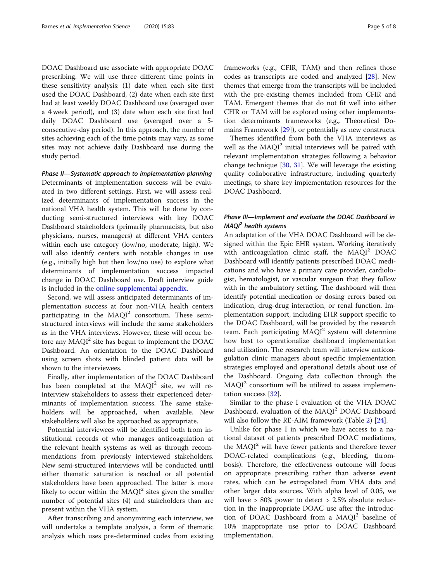DOAC Dashboard use associate with appropriate DOAC prescribing. We will use three different time points in these sensitivity analysis: (1) date when each site first used the DOAC Dashboard, (2) date when each site first had at least weekly DOAC Dashboard use (averaged over a 4 week period), and (3) date when each site first had daily DOAC Dashboard use (averaged over a 5 consecutive-day period). In this approach, the number of sites achieving each of the time points may vary, as some sites may not achieve daily Dashboard use during the study period.

Phase II—Systematic approach to implementation planning Determinants of implementation success will be evaluated in two different settings. First, we will assess realized determinants of implementation success in the national VHA health system. This will be done by conducting semi-structured interviews with key DOAC Dashboard stakeholders (primarily pharmacists, but also physicians, nurses, managers) at different VHA centers within each use category (low/no, moderate, high). We will also identify centers with notable changes in use (e.g., initially high but then low/no use) to explore what determinants of implementation success impacted change in DOAC Dashboard use. Draft interview guide is included in the [online supplemental appendix.](#page-6-0)

Second, we will assess anticipated determinants of implementation success at four non-VHA health centers participating in the  $MAQI<sup>2</sup>$  consortium. These semistructured interviews will include the same stakeholders as in the VHA interviews. However, these will occur before any  $MAQI<sup>2</sup>$  site has begun to implement the DOAC Dashboard. An orientation to the DOAC Dashboard using screen shots with blinded patient data will be shown to the interviewees.

Finally, after implementation of the DOAC Dashboard has been completed at the  $MAQI<sup>2</sup>$  site, we will reinterview stakeholders to assess their experienced determinants of implementation success. The same stakeholders will be approached, when available. New stakeholders will also be approached as appropriate.

Potential interviewees will be identified both from institutional records of who manages anticoagulation at the relevant health systems as well as through recommendations from previously interviewed stakeholders. New semi-structured interviews will be conducted until either thematic saturation is reached or all potential stakeholders have been approached. The latter is more likely to occur within the  $MAQI<sup>2</sup>$  sites given the smaller number of potential sites (4) and stakeholders than are present within the VHA system.

After transcribing and anonymizing each interview, we will undertake a template analysis, a form of thematic analysis which uses pre-determined codes from existing frameworks (e.g., CFIR, TAM) and then refines those codes as transcripts are coded and analyzed [\[28](#page-7-0)]. New themes that emerge from the transcripts will be included with the pre-existing themes included from CFIR and TAM. Emergent themes that do not fit well into either CFIR or TAM will be explored using other implementation determinants frameworks (e.g., Theoretical Domains Framework [\[29](#page-7-0)]), or potentially as new constructs.

Themes identified from both the VHA interviews as well as the MAQI<sup>2</sup> initial interviews will be paired with relevant implementation strategies following a behavior change technique [[30,](#page-7-0) [31](#page-7-0)]. We will leverage the existing quality collaborative infrastructure, including quarterly meetings, to share key implementation resources for the DOAC Dashboard.

# Phase III—Implement and evaluate the DOAC Dashboard in  $MAQI<sup>2</sup>$  health systems

An adaptation of the VHA DOAC Dashboard will be designed within the Epic EHR system. Working iteratively with anticoagulation clinic staff, the  $MAQI<sup>2</sup> DOAC$ Dashboard will identify patients prescribed DOAC medications and who have a primary care provider, cardiologist, hematologist, or vascular surgeon that they follow with in the ambulatory setting. The dashboard will then identify potential medication or dosing errors based on indication, drug-drug interaction, or renal function. Implementation support, including EHR support specific to the DOAC Dashboard, will be provided by the research team. Each participating  $MAQI<sup>2</sup>$  system will determine how best to operationalize dashboard implementation and utilization. The research team will interview anticoagulation clinic managers about specific implementation strategies employed and operational details about use of the Dashboard. Ongoing data collection through the  $MAQI<sup>2</sup>$  consortium will be utilized to assess implementation success [\[32](#page-7-0)].

Similar to the phase I evaluation of the VHA DOAC Dashboard, evaluation of the MAQI<sup>2</sup> DOAC Dashboard will also follow the RE-AIM framework (Table [2](#page-5-0)) [[24](#page-7-0)].

Unlike for phase I in which we have access to a national dataset of patients prescribed DOAC mediations, the  $MAQI<sup>2</sup>$  will have fewer patients and therefore fewer DOAC-related complications (e.g., bleeding, thrombosis). Therefore, the effectiveness outcome will focus on appropriate prescribing rather than adverse event rates, which can be extrapolated from VHA data and other larger data sources. With alpha level of 0.05, we will have > 80% power to detect > 2.5% absolute reduction in the inappropriate DOAC use after the introduction of DOAC Dashboard from a MAQI<sup>2</sup> baseline of 10% inappropriate use prior to DOAC Dashboard implementation.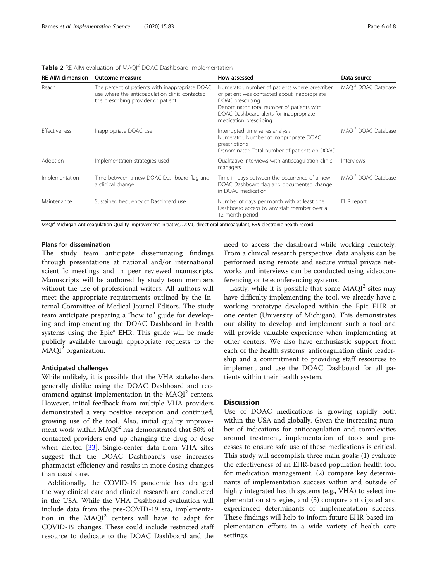| <b>RE-AIM dimension</b> | <b>Outcome measure</b>                                                                                                                   | How assessed                                                                                                                                                                                                                          | Data source                     |
|-------------------------|------------------------------------------------------------------------------------------------------------------------------------------|---------------------------------------------------------------------------------------------------------------------------------------------------------------------------------------------------------------------------------------|---------------------------------|
| Reach                   | The percent of patients with inappropriate DOAC<br>use where the anticoagulation clinic contacted<br>the prescribing provider or patient | Numerator: number of patients where prescriber<br>or patient was contacted about inappropriate<br>DOAC prescribing<br>Denominator: total number of patients with<br>DOAC Dashboard alerts for inappropriate<br>medication prescribing | MAQI <sup>2</sup> DOAC Database |
| <b>Effectiveness</b>    | Inappropriate DOAC use                                                                                                                   | Interrupted time series analysis<br>Numerator: Number of inappropriate DOAC<br>prescriptions<br>Denominator: Total number of patients on DOAC                                                                                         | MAOI <sup>2</sup> DOAC Database |
| Adoption                | Implementation strategies used                                                                                                           | Qualitative interviews with anticoagulation clinic<br>managers                                                                                                                                                                        | Interviews                      |
| Implementation          | Time between a new DOAC Dashboard flag and<br>a clinical change                                                                          | Time in days between the occurrence of a new<br>DOAC Dashboard flag and documented change<br>in DOAC medication                                                                                                                       | MAOI <sup>2</sup> DOAC Database |
| Maintenance             | Sustained frequency of Dashboard use                                                                                                     | Number of days per month with at least one<br>Dashboard access by any staff member over a<br>12-month period                                                                                                                          | EHR report                      |

<span id="page-5-0"></span>Table 2 RE-AIM evaluation of MAQI<sup>2</sup> DOAC Dashboard implementation

MAQI<sup>2</sup> Michigan Anticoagulation Quality Improvement Initiative, DOAC direct oral anticoagulant, EHR electronic health record

## Plans for dissemination

The study team anticipate disseminating findings through presentations at national and/or international scientific meetings and in peer reviewed manuscripts. Manuscripts will be authored by study team members without the use of professional writers. All authors will meet the appropriate requirements outlined by the Internal Committee of Medical Journal Editors. The study team anticipate preparing a "how to" guide for developing and implementing the DOAC Dashboard in health systems using the Epic® EHR. This guide will be made publicly available through appropriate requests to the  $MAQI<sup>2</sup>$  organization.

### Anticipated challenges

While unlikely, it is possible that the VHA stakeholders generally dislike using the DOAC Dashboard and recommend against implementation in the  $MAQI<sup>2</sup>$  centers. However, initial feedback from multiple VHA providers demonstrated a very positive reception and continued, growing use of the tool. Also, initial quality improvement work within MAQI<sup>2</sup> has demonstrated that 50% of contacted providers end up changing the drug or dose when alerted [[33\]](#page-7-0). Single-center data from VHA sites suggest that the DOAC Dashboard's use increases pharmacist efficiency and results in more dosing changes than usual care.

Additionally, the COVID-19 pandemic has changed the way clinical care and clinical research are conducted in the USA. While the VHA Dashboard evaluation will include data from the pre-COVID-19 era, implementation in the MAQI<sup>2</sup> centers will have to adapt for COVID-19 changes. These could include restricted staff resource to dedicate to the DOAC Dashboard and the

need to access the dashboard while working remotely. From a clinical research perspective, data analysis can be performed using remote and secure virtual private networks and interviews can be conducted using videoconferencing or teleconferencing systems.

Lastly, while it is possible that some  $MAQI<sup>2</sup>$  sites may have difficulty implementing the tool, we already have a working prototype developed within the Epic EHR at one center (University of Michigan). This demonstrates our ability to develop and implement such a tool and will provide valuable experience when implementing at other centers. We also have enthusiastic support from each of the health systems' anticoagulation clinic leadership and a commitment to providing staff resources to implement and use the DOAC Dashboard for all patients within their health system.

# **Discussion**

Use of DOAC medications is growing rapidly both within the USA and globally. Given the increasing number of indications for anticoagulation and complexities around treatment, implementation of tools and processes to ensure safe use of these medications is critical. This study will accomplish three main goals: (1) evaluate the effectiveness of an EHR-based population health tool for medication management, (2) compare key determinants of implementation success within and outside of highly integrated health systems (e.g., VHA) to select implementation strategies, and (3) compare anticipated and experienced determinants of implementation success. These findings will help to inform future EHR-based implementation efforts in a wide variety of health care settings.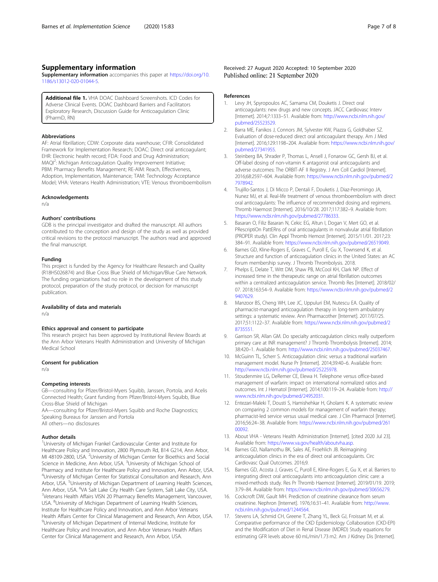# <span id="page-6-0"></span>Supplementary information

Supplementary information accompanies this paper at [https://doi.org/10.](https://doi.org/10.1186/s13012-020-01044-5) [1186/s13012-020-01044-5](https://doi.org/10.1186/s13012-020-01044-5).

Additional file 1. VHA DOAC Dashboard Screenshots. ICD Codes for Adverse Clinical Events. DOAC Dashboard Barriers and Facilitators Exploratory Research, Discussion Guide for Anticoagulation Clinic (PharmD, RN)

#### Abbreviations

AF: Atrial fibrillation; CDW: Corporate data warehouse; CFIR: Consolidated Framework for Implementation Research; DOAC: Direct oral anticoagulant; EHR: Electronic health record; FDA: Food and Drug Administration; MAQI<sup>2</sup>: Michigan Anticoagulation Quality Improvement Initiative; PBM: Pharmacy Benefits Management; RE-AIM: Reach, Effectiveness, Adoption, Implementation, Maintenance; TAM: Technology Acceptance Model; VHA: Veterans Health Administration; VTE: Venous thromboembolism

#### Acknowledgements

n/a

#### Authors' contributions

GDB is the principal investigator and drafted the manuscript. All authors contributed to the conception and design of the study as well as provided critical revisions to the protocol manuscript. The authors read and approved the final manuscript.

#### Funding

This project is funded by the Agency for Healthcare Research and Quality (R18HS026874) and Blue Cross Blue Shield of Michigan/Blue Care Network. The funding organizations had no role in the development of this study protocol, preparation of the study protocol, or decision for manuscript publication.

#### Availability of data and materials

n/a

#### Ethics approval and consent to participate

This research project has been approved by Institutional Review Boards at the Ann Arbor Veterans Health Administration and University of Michigan Medical School

#### Consent for publication

n/a

#### Competing interests

GB—consulting for Pfizer/Bristol-Myers Squibb, Janssen, Portola, and Acelis Connected Health; Grant funding from Pfizer/Bristol-Myers Squibb, Blue Cross-Blue Shield of Michigan

AA—consulting for Pfizer/Bristol-Myers Squibb and Roche Diagnostics; Speaking Bureaus for Janssen and Portola

All others—no disclosures

### Author details

<sup>1</sup>University of Michigan Frankel Cardiovascular Center and Institute for Healthcare Policy and Innovation, 2800 Plymouth Rd, B14 G214, Ann Arbor, MI 48109-2800, USA. <sup>2</sup>University of Michigan Center for Bioethics and Social Science in Medicine, Ann Arbor, USA. <sup>3</sup>University of Michigan School of Pharmacy and Institute for Healthcare Policy and Innovation, Ann Arbor, USA. 4 University of Michigan Center for Statistical Consultation and Research, Ann Arbor, USA. <sup>5</sup>University of Michigan Department of Learning Health Sciences, Ann Arbor, USA. <sup>6</sup>VA Salt Lake City Health Care System, Salt Lake City, USA.<br><sup>7</sup>Voterans Health Affairs VISN 20 Pharmacy Bongfits Managoment Vancouve <sup>7</sup>Veterans Health Affairs VISN 20 Pharmacy Benefits Management, Vancouver, USA. <sup>8</sup>University of Michigan Department of Learning Health Sciences, Institute for Healthcare Policy and Innovation, and Ann Arbor Veterans Health Affairs Center for Clinical Management and Research, Ann Arbor, USA. 9 University of Michigan Department of Internal Medicine, Institute for Healthcare Policy and Innovation, and Ann Arbor Veterans Health Affairs Center for Clinical Management and Research, Ann Arbor, USA.

Received: 27 August 2020 Accepted: 10 September 2020 Published online: 21 September 2020

#### References

- 1. Levy JH, Spyropoulos AC, Samama CM, Douketis J. Direct oral anticoagulants: new drugs and new concepts. JACC Cardiovasc Interv [Internet]. 2014;7:1333–51. Available from: [http://www.ncbi.nlm.nih.gov/](http://www.ncbi.nlm.nih.gov/pubmed/25523529) [pubmed/25523529.](http://www.ncbi.nlm.nih.gov/pubmed/25523529)
- 2. Barra ME, Fanikos J, Connors JM, Sylvester KW, Piazza G, Goldhaber SZ. Evaluation of dose-reduced direct oral anticoagulant therapy. Am J Med [Internet]. 2016;129:1198–204. Available from: [https://www.ncbi.nlm.nih.gov/](https://www.ncbi.nlm.nih.gov/pubmed/27341955) [pubmed/27341955.](https://www.ncbi.nlm.nih.gov/pubmed/27341955)
- 3. Steinberg BA, Shrader P, Thomas L, Ansell J, Fonarow GC, Gersh BJ, et al. Off-label dosing of non-vitamin K antagonist oral anticoagulants and adverse outcomes: The ORBIT-AF II Registry. J Am Coll Cardiol [Internet]. 2016;68:2597–604. Available from: [https://www.ncbi.nlm.nih.gov/pubmed/2](https://www.ncbi.nlm.nih.gov/pubmed/27978942) [7978942.](https://www.ncbi.nlm.nih.gov/pubmed/27978942)
- 4. Trujillo-Santos J, Di Micco P, Dentali F, Douketis J, Diaz-Peromingo JA, Nunez MJ, et al. Real-life treatment of venous thromboembolism with direct oral anticoagulants: The influence of recommended dosing and regimens. Thromb Haemost [Internet]. 2016/10/28. 2017;117:382–9. Available from: <https://www.ncbi.nlm.nih.gov/pubmed/27786333>.
- Basaran O, Filiz Basaran N, Cekic EG, Altun I, Dogan V, Mert GO, et al. PRescriptiOn PattERns of oral anticoagulants in nonvalvular atrial fibrillation (PROPER study). Clin Appl Thromb Hemost [Internet]. 2015/11/01. 2017;23: 384–91. Available from: [https://www.ncbi.nlm.nih.gov/pubmed/26519049.](https://www.ncbi.nlm.nih.gov/pubmed/26519049)
- 6. Barnes GD, Kline-Rogers E, Graves C, Puroll E, Gu X, Townsend K, et al. Structure and function of anticoagulation clinics in the United States: an AC forum membership survey. J Thromb Thrombolysis. 2018.
- 7. Phelps E, Delate T, Witt DM, Shaw PB, McCool KH, Clark NP. Effect of increased time in the therapeutic range on atrial fibrillation outcomes within a centralized anticoagulation service. Thromb Res [Internet]. 2018/02/ 07. 2018;163:54–9. Available from: [https://www.ncbi.nlm.nih.gov/pubmed/2](https://www.ncbi.nlm.nih.gov/pubmed/29407629) [9407629.](https://www.ncbi.nlm.nih.gov/pubmed/29407629)
- 8. Manzoor BS, Cheng WH, Lee JC, Uppuluri EM, Nutescu EA. Quality of pharmacist-managed anticoagulation therapy in long-term ambulatory settings: a systematic review. Ann Pharmacother [Internet]. 2017/07/25. 2017;51:1122–37. Available from: [https://www.ncbi.nlm.nih.gov/pubmed/2](https://www.ncbi.nlm.nih.gov/pubmed/28735551) [8735551.](https://www.ncbi.nlm.nih.gov/pubmed/28735551)
- 9. Garrison SR, Allan GM. Do specialty anticoagulation clinics really outperform primary care at INR management? J Thromb Thrombolysis [Internet]. 2014; 38:420–1. Available from: [http://www.ncbi.nlm.nih.gov/pubmed/25037467.](http://www.ncbi.nlm.nih.gov/pubmed/25037467)
- 10. McGuinn TL, Scherr S. Anticoagulation clinic versus a traditional warfarin management model. Nurse Pr [Internet]. 2014;39:40–6. Available from: [http://www.ncbi.nlm.nih.gov/pubmed/25225978.](http://www.ncbi.nlm.nih.gov/pubmed/25225978)
- 11. Stoudenmire LG, DeRemer CE, Elewa H. Telephone versus office-based management of warfarin: impact on international normalized ratios and outcomes. Int J Hematol [Internet]. 2014;100:119–24. Available from: [http://](http://www.ncbi.nlm.nih.gov/pubmed/24952031) [www.ncbi.nlm.nih.gov/pubmed/24952031.](http://www.ncbi.nlm.nih.gov/pubmed/24952031)
- 12. Entezari-Maleki T, Dousti S, Hamishehkar H, Gholami K. A systematic review on comparing 2 common models for management of warfarin therapy; pharmacist-led service versus usual medical care. J Clin Pharmacol [Internet]. 2016;56:24–38. Available from: [https://www.ncbi.nlm.nih.gov/pubmed/261](https://www.ncbi.nlm.nih.gov/pubmed/26100092) [00092.](https://www.ncbi.nlm.nih.gov/pubmed/26100092)
- 13. About VHA Veterans Health Administration [Internet]. [cited 2020 Jul 23]. Available from: <https://www.va.gov/health/aboutvha.asp>.
- 14. Barnes GD, Nallamothu BK, Sales AE, Froehlich JB. Reimagining anticoagulation clinics in the era of direct oral anticoagulants. Circ Cardiovasc Qual Outcomes. 2016;9.
- 15. Barnes GD, Acosta J, Graves C, Puroll E, Kline-Rogers E, Gu X, et al. Barriers to integrating direct oral anticoagulants into anticoagulation clinic care: a mixed-methods study. Res Pr Thromb Haemost [Internet]. 2019/01/19. 2019; 3:79–84. Available from: [https://www.ncbi.nlm.nih.gov/pubmed/30656279.](https://www.ncbi.nlm.nih.gov/pubmed/30656279)
- 16. Cockcroft DW, Gault MH. Prediction of creatinine clearance from serum creatinine. Nephron [Internet]. 1976;16:31–41. Available from: [http://www.](http://www.ncbi.nlm.nih.gov/pubmed/1244564) [ncbi.nlm.nih.gov/pubmed/1244564.](http://www.ncbi.nlm.nih.gov/pubmed/1244564)
- 17. Stevens LA, Schmid CH, Greene T, Zhang YL, Beck GJ, Froissart M, et al. Comparative performance of the CKD Epidemiology Collaboration (CKD-EPI) and the Modification of Diet in Renal Disease (MDRD) Study equations for estimating GFR levels above 60 mL/min/1.73 m2. Am J Kidney Dis [Internet].